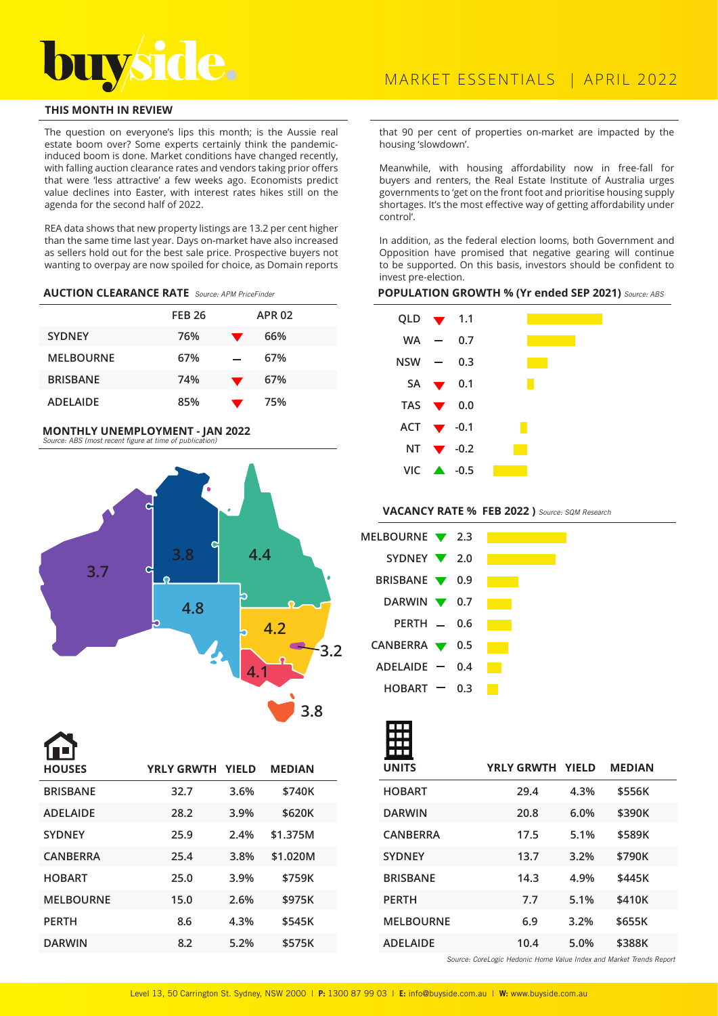

# **THIS MONTH IN REVIEW**

The question on everyone's lips this month; is the Aussie real estate boom over? Some experts certainly think the pandemicinduced boom is done. Market conditions have changed recently, with falling auction clearance rates and vendors taking prior offers that were 'less attractive' a few weeks ago. Economists predict value declines into Easter, with interest rates hikes still on the agenda for the second half of 2022.

REA data shows that new property listings are 13.2 per cent higher than the same time last year. Days on-market have also increased as sellers hold out for the best sale price. Prospective buyers not wanting to overpay are now spoiled for choice, as Domain reports

### **AUCTION CLEARANCE RATE** Source: APM PriceFinder

|                  | <b>FEB 26</b> |                | <b>APR 02</b> |
|------------------|---------------|----------------|---------------|
| <b>SYDNEY</b>    | 76%           | ▼              | 66%           |
| <b>MELBOURNE</b> | 67%           |                | 67%           |
| <b>BRISBANE</b>  | 74%           | $\blacksquare$ | 67%           |
| <b>ADELAIDE</b>  | 85%           |                | 75%           |

#### **MONTHLY UNEMPLOYMENT - JAN 2022**  Source: ABS (most recent figure at time of publication)



**BRISBANE 32.7 3.6% \$740K ADELAIDE 28.2 3.9% \$620K SYDNEY 25.9 2.4% \$1.375M CANBERRA 25.4 3.8% \$1.020M HOBART 25.0 3.9% \$759K MELBOURNE 15.0 2.6% \$975K PERTH 8.6 4.3% \$545K DARWIN 8.2 5.2% \$575K HOUSES YRLY GRWTH YIELD MEDIAN**

that 90 per cent of properties on-market are impacted by the housing 'slowdown'.

Meanwhile, with housing affordability now in free-fall for buyers and renters, the Real Estate Institute of Australia urges governments to 'get on the front foot and prioritise housing supply shortages. It's the most effective way of getting affordability under control'.

In addition, as the federal election looms, both Government and Opposition have promised that negative gearing will continue to be supported. On this basis, investors should be confident to invest pre-election.

#### **POPULATION GROWTH % (Yr ended SEP 2021)** Source: ABS

| $WA -$ | 0.7 |                                                                                                                                                                                                 |
|--------|-----|-------------------------------------------------------------------------------------------------------------------------------------------------------------------------------------------------|
|        | 0.3 |                                                                                                                                                                                                 |
|        |     |                                                                                                                                                                                                 |
|        |     |                                                                                                                                                                                                 |
|        |     |                                                                                                                                                                                                 |
|        |     |                                                                                                                                                                                                 |
|        |     |                                                                                                                                                                                                 |
|        |     | QLD $\blacktriangledown$ 1.1<br>NSW —<br>SA $\blacktriangledown$ 0.1<br>TAS $\blacktriangledown$ 0.0<br>ACT $\blacktriangledown$ -0.1<br>NT $\blacktriangledown$ -0.2<br>$VIC$ $\triangle$ -0.5 |

# **VACANCY RATE % FEB 2022 )** Source: SQM Research

| MELBOURNE $\blacktriangledown$ 2.3 |     |  |
|------------------------------------|-----|--|
| SYDNEY 2.0                         |     |  |
| BRISBANE <b>V</b> 0.9              |     |  |
| DARWIN $\blacktriangledown$ 0.7    |     |  |
| PERTH $-$ 0.6                      |     |  |
| CANBERRA $\blacktriangledown$ 0.5  |     |  |
| $ADELAIDE$ -                       | 0.4 |  |
| HOBART                             | 0.3 |  |

| <b>UNITS</b>     | <b>YRLY GRWTH YIELD</b> |      | <b>MEDIAN</b> |  |
|------------------|-------------------------|------|---------------|--|
| <b>HOBART</b>    | 29.4                    | 4.3% | \$556K        |  |
| <b>DARWIN</b>    | 20.8                    | 6.0% | \$390K        |  |
| <b>CANBERRA</b>  | 17.5                    | 5.1% | \$589K        |  |
| <b>SYDNEY</b>    | 13.7                    | 3.2% | \$790K        |  |
| <b>BRISBANE</b>  | 14.3                    | 4.9% | \$445K        |  |
| <b>PERTH</b>     | 7.7                     | 5.1% | \$410K        |  |
| <b>MELBOURNE</b> | 6.9                     | 3.2% | \$655K        |  |
| <b>ADELAIDE</b>  | 10.4                    | 5.0% | \$388K        |  |

Source: CoreLogic Hedonic Home Value Index and Market Trends Report